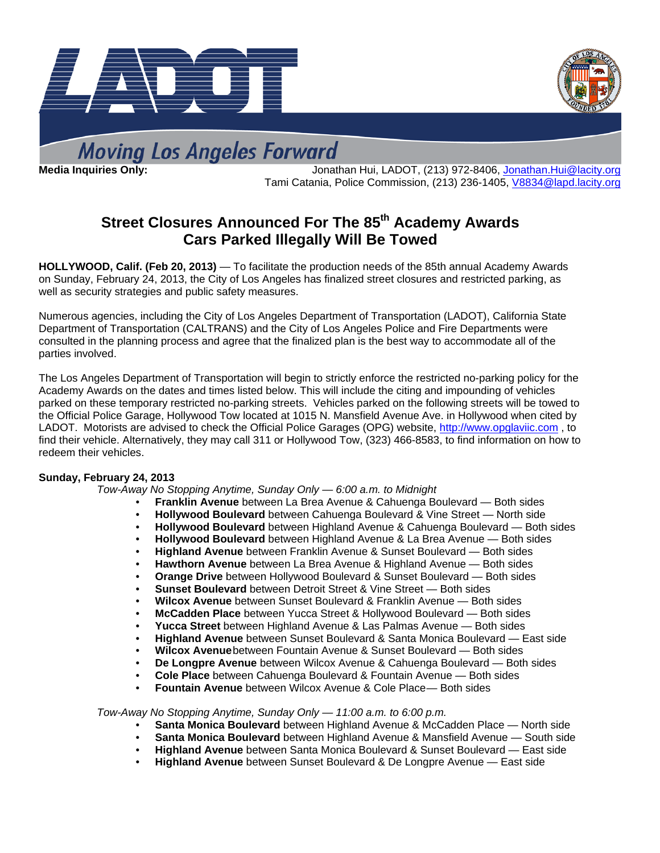



**Moving Los Angeles Forward** 

**Media Inquiries Only:** Jonathan Hui, LADOT, (213) 972-8406, Jonathan.Hui@lacity.org Tami Catania, Police Commission, (213) 236-1405, V8834@lapd.lacity.org

# **Street Closures Announced For The 85<sup>th</sup> Academy Awards Cars Parked Illegally Will Be Towed**

**HOLLYWOOD, Calif. (Feb 20, 2013)** — To facilitate the production needs of the 85th annual Academy Awards on Sunday, February 24, 2013, the City of Los Angeles has finalized street closures and restricted parking, as well as security strategies and public safety measures.

Numerous agencies, including the City of Los Angeles Department of Transportation (LADOT), California State Department of Transportation (CALTRANS) and the City of Los Angeles Police and Fire Departments were consulted in the planning process and agree that the finalized plan is the best way to accommodate all of the parties involved.

The Los Angeles Department of Transportation will begin to strictly enforce the restricted no-parking policy for the Academy Awards on the dates and times listed below. This will include the citing and impounding of vehicles parked on these temporary restricted no-parking streets. Vehicles parked on the following streets will be towed to the Official Police Garage, Hollywood Tow located at 1015 N. Mansfield Avenue Ave. in Hollywood when cited by LADOT. Motorists are advised to check the Official Police Garages (OPG) website, http://www.opglaviic.com , to find their vehicle. Alternatively, they may call 311 or Hollywood Tow, (323) 466-8583, to find information on how to redeem their vehicles.

## **Sunday, February 24, 2013**

 *Tow-Away No Stopping Anytime, Sunday Only — 6:00 a.m. to Midnight* 

- **Franklin Avenue** between La Brea Avenue & Cahuenga Boulevard Both sides
- **Hollywood Boulevard** between Cahuenga Boulevard & Vine Street North side
- **Hollywood Boulevard** between Highland Avenue & Cahuenga Boulevard Both sides
- **Hollywood Boulevard** between Highland Avenue & La Brea Avenue Both sides
- **Highland Avenue** between Franklin Avenue & Sunset Boulevard Both sides
- **Hawthorn Avenue** between La Brea Avenue & Highland Avenue Both sides
- **Orange Drive** between Hollywood Boulevard & Sunset Boulevard Both sides
- **Sunset Boulevard** between Detroit Street & Vine Street Both sides
- **Wilcox Avenue** between Sunset Boulevard & Franklin Avenue Both sides
- **McCadden Place** between Yucca Street & Hollywood Boulevard Both sides
- **Yucca Street** between Highland Avenue & Las Palmas Avenue Both sides
- **Highland Avenue** between Sunset Boulevard & Santa Monica Boulevard East side
- **Wilcox Avenue** between Fountain Avenue & Sunset Boulevard Both sides
- **De Longpre Avenue** between Wilcox Avenue & Cahuenga Boulevard Both sides
- **Cole Place** between Cahuenga Boulevard & Fountain Avenue Both sides
- **Fountain Avenue** between Wilcox Avenue & Cole Place Both sides

 *Tow-Away No Stopping Anytime, Sunday Only — 11:00 a.m. to 6:00 p.m.* 

- **Santa Monica Boulevard** between Highland Avenue & McCadden Place North side
- **Santa Monica Boulevard** between Highland Avenue & Mansfield Avenue South side
- **Highland Avenue** between Santa Monica Boulevard & Sunset Boulevard East side
- **Highland Avenue** between Sunset Boulevard & De Longpre Avenue East side